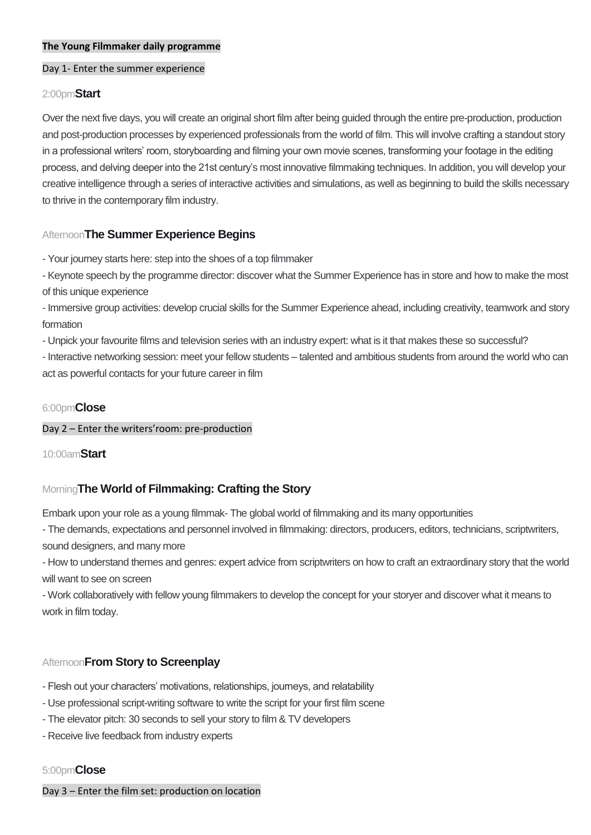#### **The Young Filmmaker daily programme**

#### Day 1- Enter the summer experience

#### 2:00pm**Start**

Over the next five days, you will create an original short film after being guided through the entire pre-production, production and post-production processes by experienced professionals from the world of film. This will involve crafting a standout story in a professional writers' room, storyboarding and filming your own movie scenes, transforming your footage in the editing process, and delving deeper into the 21st century's most innovative filmmaking techniques. In addition, you will develop your creative intelligence through a series of interactive activities and simulations, as well as beginning to build the skills necessary to thrive in the contemporary film industry.

# Afternoon**The Summer Experience Begins**

- Your journey starts here: step into the shoes of a top filmmaker

- Keynote speech by the programme director: discover what the Summer Experience has in store and how to make the most of this unique experience

- Immersive group activities: develop crucial skills for the Summer Experience ahead, including creativity, teamwork and story formation

- Unpick your favourite films and television series with an industry expert: what is it that makes these so successful?

- Interactive networking session: meet your fellow students – talented and ambitious students from around the world who can act as powerful contacts for your future career in film

#### 6:00pm**Close**

#### Day 2 – Enter the writers'room: pre-production

#### 10:00am**Start**

# Morning**The World of Filmmaking: Crafting the Story**

Embark upon your role as a young filmmak- The global world of filmmaking and its many opportunities

- The demands, expectations and personnel involved in filmmaking: directors, producers, editors, technicians, scriptwriters, sound designers, and many more

- How to understand themes and genres: expert advice from scriptwriters on how to craft an extraordinary story that the world will want to see on screen

- Work collaboratively with fellow young filmmakers to develop the concept for your storyer and discover what it means to work in film today.

# Afternoon**From Story to Screenplay**

- Flesh out your characters' motivations, relationships, journeys, and relatability
- Use professional script-writing software to write the script for your first film scene
- The elevator pitch: 30 seconds to sell your story to film & TV developers
- Receive live feedback from industry experts

#### 5:00pm**Close**

Day 3 – Enter the film set: production on location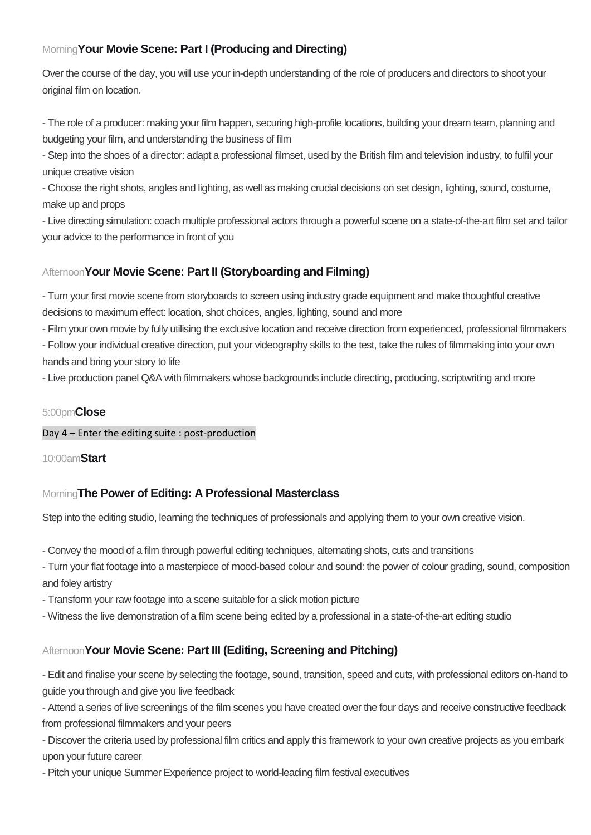# Morning**Your Movie Scene: Part I (Producing and Directing)**

Over the course of the day, you will use your in-depth understanding of the role of producers and directors to shoot your original film on location.

- The role of a producer: making your film happen, securing high-profile locations, building your dream team, planning and budgeting your film, and understanding the business of film

- Step into the shoes of a director: adapt a professional filmset, used by the British film and television industry, to fulfil your unique creative vision

- Choose the right shots, angles and lighting, as well as making crucial decisions on set design, lighting, sound, costume, make up and props

- Live directing simulation: coach multiple professional actors through a powerful scene on a state-of-the-art film set and tailor your advice to the performance in front of you

# Afternoon**Your Movie Scene: Part II (Storyboarding and Filming)**

- Turn your first movie scene from storyboards to screen using industry grade equipment and make thoughtful creative decisions to maximum effect: location, shot choices, angles, lighting, sound and more

- Film your own movie by fully utilising the exclusive location and receive direction from experienced, professional filmmakers

- Follow your individual creative direction, put your videography skills to the test, take the rules of filmmaking into your own hands and bring your story to life

- Live production panel Q&A with filmmakers whose backgrounds include directing, producing, scriptwriting and more

# 5:00pm**Close**

Day 4 – Enter the editing suite : post-production

10:00am**Start**

# Morning**The Power of Editing: A Professional Masterclass**

Step into the editing studio, learning the techniques of professionals and applying them to your own creative vision.

- Convey the mood of a film through powerful editing techniques, alternating shots, cuts and transitions
- Turn your flat footage into a masterpiece of mood-based colour and sound: the power of colour grading, sound, composition and foley artistry
- Transform your raw footage into a scene suitable for a slick motion picture
- Witness the live demonstration of a film scene being edited by a professional in a state-of-the-art editing studio

# Afternoon**Your Movie Scene: Part III (Editing, Screening and Pitching)**

- Edit and finalise your scene by selecting the footage, sound, transition, speed and cuts, with professional editors on-hand to guide you through and give you live feedback

- Attend a series of live screenings of the film scenes you have created over the four days and receive constructive feedback from professional filmmakers and your peers

- Discover the criteria used by professional film critics and apply this framework to your own creative projects as you embark upon your future career

- Pitch your unique Summer Experience project to world-leading film festival executives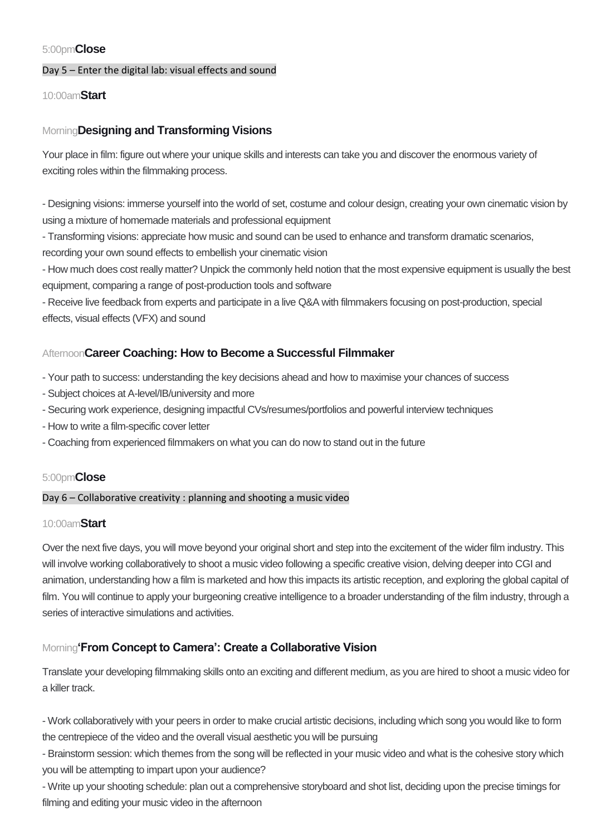#### 5:00pm**Close**

#### Day 5 – Enter the digital lab: visual effects and sound

#### 10:00am**Start**

# Morning**Designing and Transforming Visions**

Your place in film: figure out where your unique skills and interests can take you and discover the enormous variety of exciting roles within the filmmaking process.

- Designing visions: immerse yourself into the world of set, costume and colour design, creating your own cinematic vision by using a mixture of homemade materials and professional equipment

- Transforming visions: appreciate how music and sound can be used to enhance and transform dramatic scenarios, recording your own sound effects to embellish your cinematic vision

- How much does cost really matter? Unpick the commonly held notion that the most expensive equipment is usually the best equipment, comparing a range of post-production tools and software

- Receive live feedback from experts and participate in a live Q&A with filmmakers focusing on post-production, special effects, visual effects (VFX) and sound

# Afternoon**Career Coaching: How to Become a Successful Filmmaker**

- Your path to success: understanding the key decisions ahead and how to maximise your chances of success

- Subject choices at A-level/IB/university and more
- Securing work experience, designing impactful CVs/resumes/portfolios and powerful interview techniques
- How to write a film-specific cover letter
- Coaching from experienced filmmakers on what you can do now to stand out in the future

#### 5:00pm**Close**

#### Day 6 – Collaborative creativity : planning and shooting a music video

#### 10:00am**Start**

Over the next five days, you will move beyond your original short and step into the excitement of the wider film industry. This will involve working collaboratively to shoot a music video following a specific creative vision, delving deeper into CGI and animation, understanding how a film is marketed and how this impacts its artistic reception, and exploring the global capital of film. You will continue to apply your burgeoning creative intelligence to a broader understanding of the film industry, through a series of interactive simulations and activities.

# Morning**'From Concept to Camera': Create a Collaborative Vision**

Translate your developing filmmaking skills onto an exciting and different medium, as you are hired to shoot a music video for a killer track.

- Work collaboratively with your peers in order to make crucial artistic decisions, including which song you would like to form the centrepiece of the video and the overall visual aesthetic you will be pursuing

- Brainstorm session: which themes from the song will be reflected in your music video and what is the cohesive story which you will be attempting to impart upon your audience?

- Write up your shooting schedule: plan out a comprehensive storyboard and shot list, deciding upon the precise timings for filming and editing your music video in the afternoon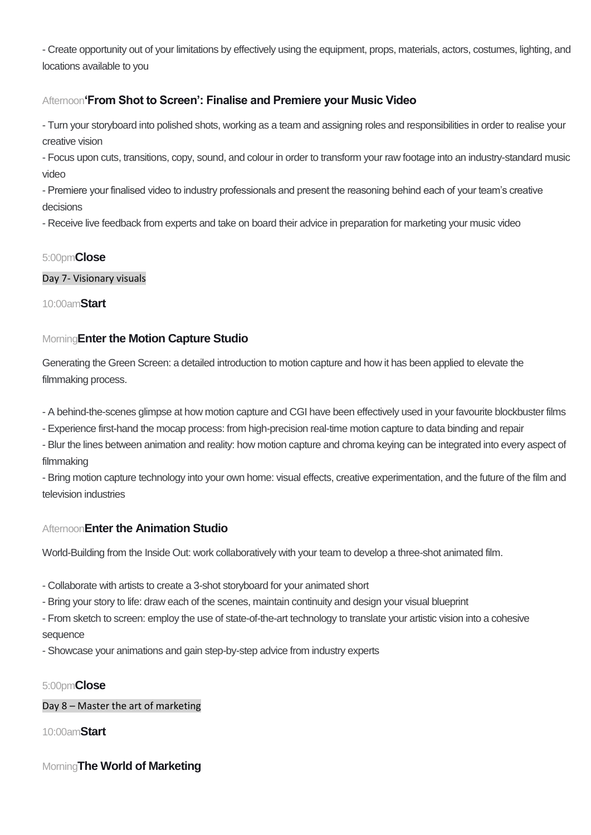- Create opportunity out of your limitations by effectively using the equipment, props, materials, actors, costumes, lighting, and locations available to you

# Afternoon**'From Shot to Screen': Finalise and Premiere your Music Video**

- Turn your storyboard into polished shots, working as a team and assigning roles and responsibilities in order to realise your creative vision

- Focus upon cuts, transitions, copy, sound, and colour in order to transform your raw footage into an industry-standard music video

- Premiere your finalised video to industry professionals and present the reasoning behind each of your team's creative decisions

- Receive live feedback from experts and take on board their advice in preparation for marketing your music video

# 5:00pm**Close**

#### Day 7- Visionary visuals

10:00am**Start**

# Morning**Enter the Motion Capture Studio**

Generating the Green Screen: a detailed introduction to motion capture and how it has been applied to elevate the filmmaking process.

- A behind-the-scenes glimpse at how motion capture and CGI have been effectively used in your favourite blockbuster films
- Experience first-hand the mocap process: from high-precision real-time motion capture to data binding and repair
- Blur the lines between animation and reality: how motion capture and chroma keying can be integrated into every aspect of filmmaking

- Bring motion capture technology into your own home: visual effects, creative experimentation, and the future of the film and television industries

# Afternoon**Enter the Animation Studio**

World-Building from the Inside Out: work collaboratively with your team to develop a three-shot animated film.

- Collaborate with artists to create a 3-shot storyboard for your animated short
- Bring your story to life: draw each of the scenes, maintain continuity and design your visual blueprint
- From sketch to screen: employ the use of state-of-the-art technology to translate your artistic vision into a cohesive sequence
- Showcase your animations and gain step-by-step advice from industry experts

# 5:00pm**Close**

# Day 8 – Master the art of marketing

10:00am**Start**

Morning**The World of Marketing**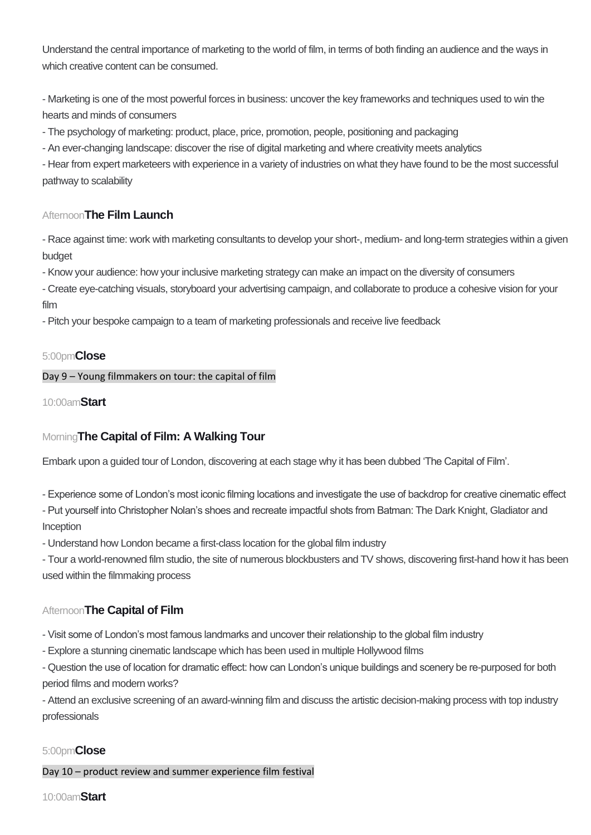Understand the central importance of marketing to the world of film, in terms of both finding an audience and the ways in which creative content can be consumed.

- Marketing is one of the most powerful forces in business: uncover the key frameworks and techniques used to win the hearts and minds of consumers

- The psychology of marketing: product, place, price, promotion, people, positioning and packaging

- An ever-changing landscape: discover the rise of digital marketing and where creativity meets analytics

- Hear from expert marketeers with experience in a variety of industries on what they have found to be the most successful pathway to scalability

# Afternoon**The Film Launch**

- Race against time: work with marketing consultants to develop your short-, medium- and long-term strategies within a given budget

- Know your audience: how your inclusive marketing strategy can make an impact on the diversity of consumers

- Create eye-catching visuals, storyboard your advertising campaign, and collaborate to produce a cohesive vision for your film

- Pitch your bespoke campaign to a team of marketing professionals and receive live feedback

#### 5:00pm**Close**

#### Day 9 – Young filmmakers on tour: the capital of film

10:00am**Start**

# Morning**The Capital of Film: A Walking Tour**

Embark upon a guided tour of London, discovering at each stage why it has been dubbed 'The Capital of Film'.

- Experience some of London's most iconic filming locations and investigate the use of backdrop for creative cinematic effect

- Put yourself into Christopher Nolan's shoes and recreate impactful shots from Batman: The Dark Knight, Gladiator and Inception

- Understand how London became a first-class location for the global film industry

- Tour a world-renowned film studio, the site of numerous blockbusters and TV shows, discovering first-hand how it has been used within the filmmaking process

# Afternoon**The Capital of Film**

- Visit some of London's most famous landmarks and uncover their relationship to the global film industry

- Explore a stunning cinematic landscape which has been used in multiple Hollywood films

- Question the use of location for dramatic effect: how can London's unique buildings and scenery be re-purposed for both period films and modern works?

- Attend an exclusive screening of an award-winning film and discuss the artistic decision-making process with top industry professionals

# 5:00pm**Close**

Day 10 – product review and summer experience film festival

#### 10:00am**Start**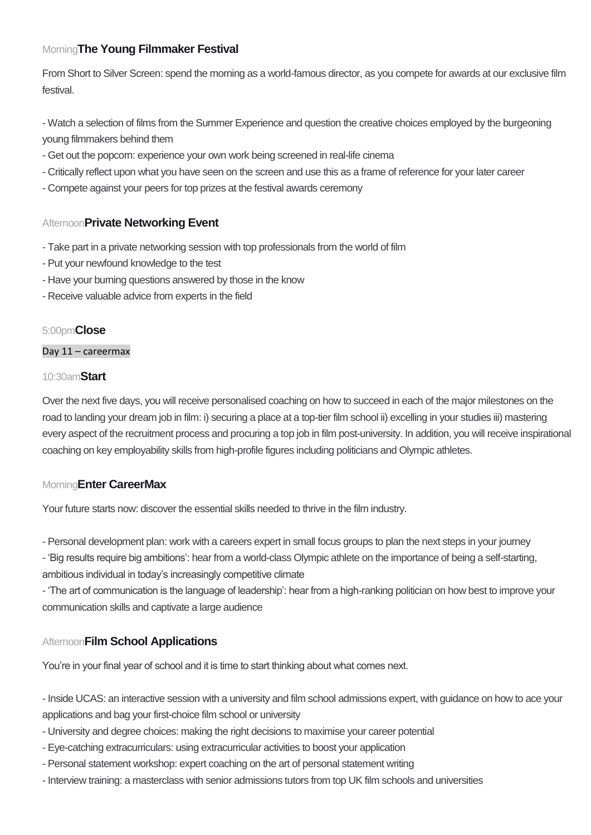# Morning**The Young Filmmaker Festival**

From Short to Silver Screen: spend the morning as a world-famous director, as you compete for awards at our exclusive film festival.

- Watch a selection of films from the Summer Experience and question the creative choices employed by the burgeoning young filmmakers behind them

- Get out the popcorn: experience your own work being screened in real-life cinema
- Critically reflect upon what you have seen on the screen and use this as a frame of reference for your later career
- Compete against your peers for top prizes at the festival awards ceremony

#### Afternoon**Private Networking Event**

- Take part in a private networking session with top professionals from the world of film
- Put your newfound knowledge to the test
- Have your burning questions answered by those in the know
- Receive valuable advice from experts in the field

#### 5:00pm**Close**

#### Day 11 – careermax

#### 10:30am**Start**

Over the next five days, you will receive personalised coaching on how to succeed in each of the major milestones on the road to landing your dream job in film: i) securing a place at a top-tier film school ii) excelling in your studies iii) mastering every aspect of the recruitment process and procuring a top job in film post-university. In addition, you will receive inspirational coaching on key employability skills from high-profile figures including politicians and Olympic athletes.

#### Morning**Enter CareerMax**

Your future starts now: discover the essential skills needed to thrive in the film industry.

- Personal development plan: work with a careers expert in small focus groups to plan the next steps in your journey
- 'Big results require big ambitions': hear from a world-class Olympic athlete on the importance of being a self-starting,

ambitious individual in today's increasingly competitive climate

- 'The art of communication is the language of leadership': hear from a high-ranking politician on how best to improve your communication skills and captivate a large audience

# Afternoon**Film School Applications**

You're in your final year of school and it is time to start thinking about what comes next.

- Inside UCAS: an interactive session with a university and film school admissions expert, with guidance on how to ace your applications and bag your first-choice film school or university

- University and degree choices: making the right decisions to maximise your career potential
- Eye-catching extracurriculars: using extracurricular activities to boost your application
- Personal statement workshop: expert coaching on the art of personal statement writing
- Interview training: a masterclass with senior admissions tutors from top UK film schools and universities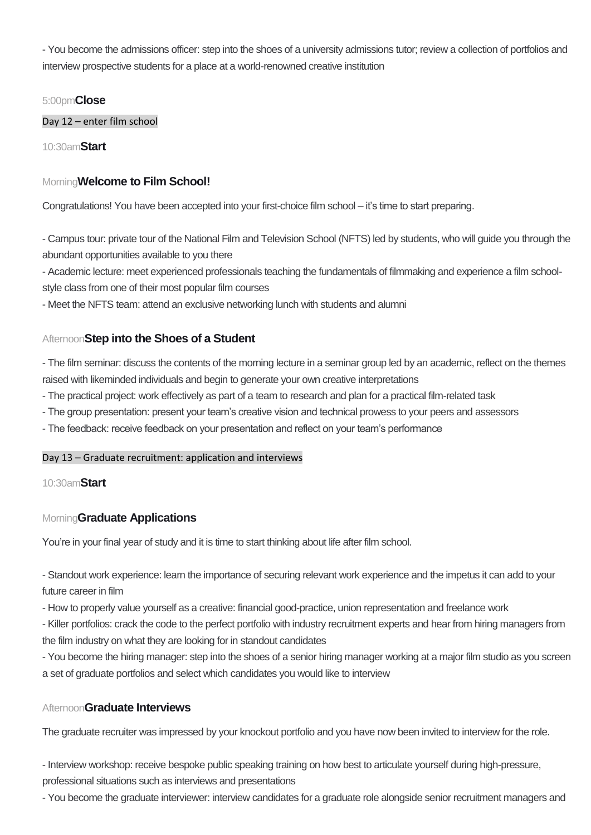- You become the admissions officer: step into the shoes of a university admissions tutor; review a collection of portfolios and interview prospective students for a place at a world-renowned creative institution

#### 5:00pm**Close**

Day 12 – enter film school

10:30am**Start**

# Morning**Welcome to Film School!**

Congratulations! You have been accepted into your first-choice film school – it's time to start preparing.

- Campus tour: private tour of the National Film and Television School (NFTS) led by students, who will guide you through the abundant opportunities available to you there

- Academic lecture: meet experienced professionals teaching the fundamentals of filmmaking and experience a film schoolstyle class from one of their most popular film courses

- Meet the NFTS team: attend an exclusive networking lunch with students and alumni

# Afternoon**Step into the Shoes of a Student**

- The film seminar: discuss the contents of the morning lecture in a seminar group led by an academic, reflect on the themes raised with likeminded individuals and begin to generate your own creative interpretations

- The practical project: work effectively as part of a team to research and plan for a practical film-related task
- The group presentation: present your team's creative vision and technical prowess to your peers and assessors
- The feedback: receive feedback on your presentation and reflect on your team's performance

#### Day 13 – Graduate recruitment: application and interviews

#### 10:30am**Start**

#### Morning**Graduate Applications**

You're in your final year of study and it is time to start thinking about life after film school.

- Standout work experience: learn the importance of securing relevant work experience and the impetus it can add to your future career in film

- How to properly value yourself as a creative: financial good-practice, union representation and freelance work

- Killer portfolios: crack the code to the perfect portfolio with industry recruitment experts and hear from hiring managers from the film industry on what they are looking for in standout candidates

- You become the hiring manager: step into the shoes of a senior hiring manager working at a major film studio as you screen a set of graduate portfolios and select which candidates you would like to interview

#### Afternoon**Graduate Interviews**

The graduate recruiter was impressed by your knockout portfolio and you have now been invited to interview for the role.

- Interview workshop: receive bespoke public speaking training on how best to articulate yourself during high-pressure, professional situations such as interviews and presentations

- You become the graduate interviewer: interview candidates for a graduate role alongside senior recruitment managers and